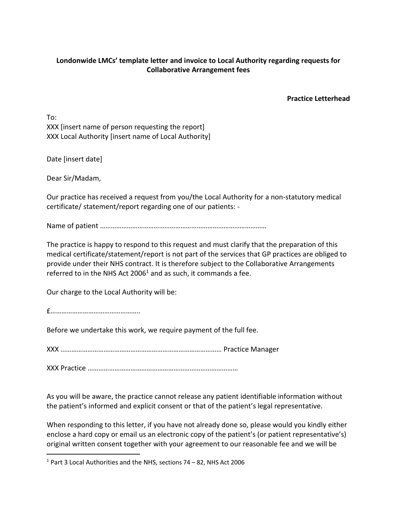## **Londonwide LMCs' template letter and invoice to Local Authority regarding requests for Collaborative Arrangement fees**

**Practice Letterhead**

To: XXX [insert name of person requesting the report] XXX Local Authority [insert name of Local Authority]

Date [insert date]

Dear Sir/Madam,

Our practice has received a request from you/the Local Authority for a non-statutory medical certificate/ statement/report regarding one of our patients: -

Name of patient …………………………………………………………………………………

The practice is happy to respond to this request and must clarify that the preparation of this medical certificate/statement/report is not part of the services that GP practices are obliged to provide under their NHS contract. It is therefore subject to the Collaborative Arrangements referred to in the NHS Act 2006<sup>1</sup> and as such, it commands a fee.

Our charge to the Local Authority will be:

£…………………………………………..

Before we undertake this work, we require payment of the full fee.

XXX ……………………………………………………………………………… Practice Manager

XXX Practice …………………………………………………………………………

As you will be aware, the practice cannot release any patient identifiable information without the patient's informed and explicit consent or that of the patient's legal representative.

When responding to this letter, if you have not already done so, please would you kindly either enclose a hard copy or email us an electronic copy of the patient's (or patient representative's) original written consent together with your agreement to our reasonable fee and we will be

<sup>1</sup> Part 3 Local Authorities and the NHS, sections 74 – 82, NHS Act 2006